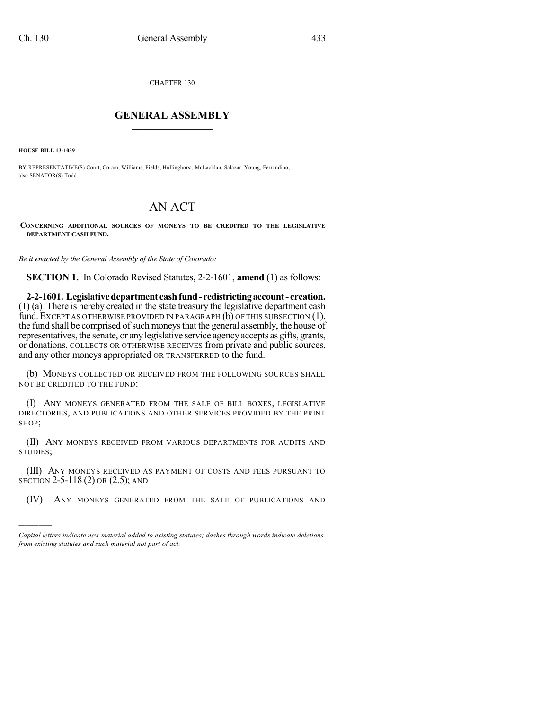CHAPTER 130

## $\overline{\phantom{a}}$  . The set of the set of the set of the set of the set of the set of the set of the set of the set of the set of the set of the set of the set of the set of the set of the set of the set of the set of the set o **GENERAL ASSEMBLY**  $\frac{1}{\sqrt{2}}$  . The set of  $\frac{1}{\sqrt{2}}$  ,  $\frac{1}{\sqrt{2}}$  ,  $\frac{1}{\sqrt{2}}$  ,  $\frac{1}{\sqrt{2}}$

**HOUSE BILL 13-1039**

)))))

BY REPRESENTATIVE(S) Court, Coram, Williams, Fields, Hullinghorst, McLachlan, Salazar, Young, Ferrandino; also SENATOR(S) Todd.

## AN ACT

**CONCERNING ADDITIONAL SOURCES OF MONEYS TO BE CREDITED TO THE LEGISLATIVE DEPARTMENT CASH FUND.**

*Be it enacted by the General Assembly of the State of Colorado:*

**SECTION 1.** In Colorado Revised Statutes, 2-2-1601, **amend** (1) as follows:

**2-2-1601. Legislativedepartment cashfund- redistrictingaccount- creation.** (1) (a) There is hereby created in the state treasury the legislative department cash fund. EXCEPT AS OTHERWISE PROVIDED IN PARAGRAPH (b) OF THIS SUBSECTION (1), the fund shall be comprised of such moneys that the general assembly, the house of representatives, the senate, or any legislative service agency accepts as gifts, grants, or donations, COLLECTS OR OTHERWISE RECEIVES from private and public sources, and any other moneys appropriated OR TRANSFERRED to the fund.

(b) MONEYS COLLECTED OR RECEIVED FROM THE FOLLOWING SOURCES SHALL NOT BE CREDITED TO THE FUND:

(I) ANY MONEYS GENERATED FROM THE SALE OF BILL BOXES, LEGISLATIVE DIRECTORIES, AND PUBLICATIONS AND OTHER SERVICES PROVIDED BY THE PRINT SHOP;

(II) ANY MONEYS RECEIVED FROM VARIOUS DEPARTMENTS FOR AUDITS AND STUDIES;

(III) ANY MONEYS RECEIVED AS PAYMENT OF COSTS AND FEES PURSUANT TO SECTION 2-5-118 (2) OR (2.5); AND

(IV) ANY MONEYS GENERATED FROM THE SALE OF PUBLICATIONS AND

*Capital letters indicate new material added to existing statutes; dashes through words indicate deletions from existing statutes and such material not part of act.*